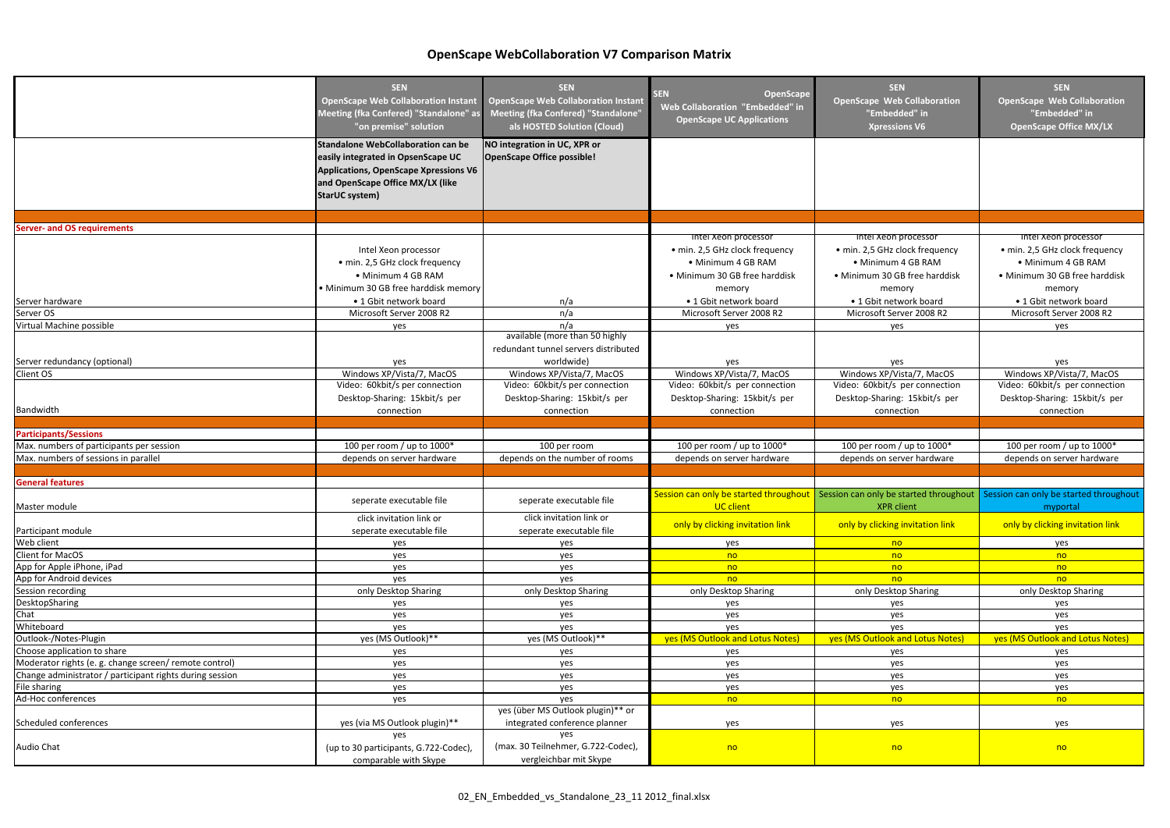|                                                          | <b>SEN</b>                                   | <b>SEN</b>                                 | OpenScape<br><b>SEN</b>                | <b>SEN</b>                                                                      | <b>SEN</b>                         |
|----------------------------------------------------------|----------------------------------------------|--------------------------------------------|----------------------------------------|---------------------------------------------------------------------------------|------------------------------------|
|                                                          | <b>OpenScape Web Collaboration Instant</b>   | <b>OpenScape Web Collaboration Instant</b> |                                        | <b>OpenScape Web Collaboration</b>                                              | <b>OpenScape Web Collaboration</b> |
|                                                          | Meeting (fka Confered) "Standalone" as       | Meeting (fka Confered) "Standalone"        | Web Collaboration "Embedded" in        | "Embedded" in                                                                   | "Embedded" in                      |
|                                                          | "on premise" solution                        | als HOSTED Solution (Cloud)                | <b>OpenScape UC Applications</b>       | <b>Xpressions V6</b>                                                            | <b>OpenScape Office MX/LX</b>      |
|                                                          |                                              |                                            |                                        |                                                                                 |                                    |
|                                                          | <b>Standalone WebCollaboration can be</b>    | NO integration in UC, XPR or               |                                        |                                                                                 |                                    |
|                                                          | easily integrated in OpsenScape UC           | <b>OpenScape Office possible!</b>          |                                        |                                                                                 |                                    |
|                                                          | <b>Applications, OpenScape Xpressions V6</b> |                                            |                                        |                                                                                 |                                    |
|                                                          | and OpenScape Office MX/LX (like             |                                            |                                        |                                                                                 |                                    |
|                                                          | <b>StarUC system)</b>                        |                                            |                                        |                                                                                 |                                    |
|                                                          |                                              |                                            |                                        |                                                                                 |                                    |
|                                                          |                                              |                                            |                                        |                                                                                 |                                    |
| <b>Server- and OS requirements</b>                       |                                              |                                            |                                        |                                                                                 |                                    |
|                                                          |                                              |                                            | Intel Xeon processor                   | Intel Xeon processor                                                            | Intel Xeon processor               |
|                                                          | Intel Xeon processor                         |                                            | · min. 2,5 GHz clock frequency         | · min. 2,5 GHz clock frequency                                                  | · min. 2,5 GHz clock frequency     |
|                                                          | · min. 2,5 GHz clock frequency               |                                            | • Minimum 4 GB RAM                     | • Minimum 4 GB RAM                                                              | · Minimum 4 GB RAM                 |
|                                                          | • Minimum 4 GB RAM                           |                                            | · Minimum 30 GB free harddisk          | • Minimum 30 GB free harddisk                                                   | · Minimum 30 GB free harddisk      |
|                                                          | · Minimum 30 GB free harddisk memory         |                                            | memory                                 | memory                                                                          | memory                             |
| Server hardware                                          | • 1 Gbit network board                       | n/a                                        | • 1 Gbit network board                 | • 1 Gbit network board                                                          | • 1 Gbit network board             |
| Server OS                                                | Microsoft Server 2008 R2                     | n/a                                        | Microsoft Server 2008 R2               | Microsoft Server 2008 R2                                                        | Microsoft Server 2008 R2           |
| Virtual Machine possible                                 | yes                                          | n/a                                        | yes                                    | yes                                                                             | yes                                |
|                                                          |                                              | available (more than 50 highly             |                                        |                                                                                 |                                    |
|                                                          |                                              | redundant tunnel servers distributed       |                                        |                                                                                 |                                    |
| Server redundancy (optional)                             | yes                                          | worldwide)                                 | yes                                    | yes                                                                             | yes                                |
| Client OS                                                | Windows XP/Vista/7, MacOS                    | Windows XP/Vista/7, MacOS                  | Windows XP/Vista/7, MacOS              | Windows XP/Vista/7, MacOS                                                       | Windows XP/Vista/7, MacOS          |
|                                                          | Video: 60kbit/s per connection               | Video: 60kbit/s per connection             | Video: 60kbit/s per connection         | Video: 60kbit/s per connection                                                  | Video: 60kbit/s per connection     |
|                                                          | Desktop-Sharing: 15kbit/s per                | Desktop-Sharing: 15kbit/s per              | Desktop-Sharing: 15kbit/s per          | Desktop-Sharing: 15kbit/s per                                                   | Desktop-Sharing: 15kbit/s per      |
| Bandwidth                                                | connection                                   | connection                                 | connection                             | connection                                                                      | connection                         |
|                                                          |                                              |                                            |                                        |                                                                                 |                                    |
| <b>Participants/Sessions</b>                             |                                              |                                            |                                        |                                                                                 |                                    |
| Max. numbers of participants per session                 | 100 per room / up to 1000*                   | 100 per room                               | 100 per room / up to 1000*             | 100 per room / up to 1000*                                                      | 100 per room / up to 1000*         |
| Max. numbers of sessions in parallel                     | depends on server hardware                   | depends on the number of rooms             | depends on server hardware             | depends on server hardware                                                      | depends on server hardware         |
|                                                          |                                              |                                            |                                        |                                                                                 |                                    |
| <b>General features</b>                                  |                                              |                                            |                                        |                                                                                 |                                    |
|                                                          |                                              |                                            | Session can only be started throughout | Session can only be started throughout   Session can only be started throughout |                                    |
| Master module                                            | seperate executable file                     | seperate executable file                   | UC client                              | <b>XPR</b> client                                                               | myportal                           |
|                                                          | click invitation link or                     | click invitation link or                   |                                        |                                                                                 |                                    |
| Participant module                                       | seperate executable file                     | seperate executable file                   | only by clicking invitation link       | only by clicking invitation link                                                | only by clicking invitation link   |
| Web client                                               | yes                                          | yes                                        | yes                                    | n <sub>o</sub>                                                                  | yes                                |
| Client for MacOS                                         | yes                                          | yes                                        | no                                     | n <sub>o</sub>                                                                  | no                                 |
| App for Apple iPhone, iPad                               | yes                                          | yes                                        | no                                     | n <sub>o</sub>                                                                  | no                                 |
| App for Android devices                                  | yes                                          | yes                                        | no                                     | n <sub>o</sub>                                                                  | no                                 |
| Session recording                                        | only Desktop Sharing                         | only Desktop Sharing                       | only Desktop Sharing                   | only Desktop Sharing                                                            | only Desktop Sharing               |
| DesktopSharing                                           | yes                                          | yes                                        | yes                                    | yes                                                                             | yes                                |
| Chat                                                     | yes                                          | yes                                        | yes                                    | yes                                                                             | yes                                |
| Whiteboard                                               | yes                                          | yes                                        | yes                                    | yes                                                                             | yes                                |
| Outlook-/Notes-Plugin                                    | yes (MS Outlook)**                           | yes (MS Outlook)**                         | yes (MS Outlook and Lotus Notes)       | yes (MS Outlook and Lotus Notes)                                                | yes (MS Outlook and Lotus Notes)   |
| Choose application to share                              | yes                                          | yes                                        | yes                                    | yes                                                                             | yes                                |
| Moderator rights (e. g. change screen/ remote control)   | yes                                          | yes                                        | yes                                    | yes                                                                             | yes                                |
| Change administrator / participant rights during session | yes                                          | yes                                        | yes                                    | yes                                                                             | yes                                |
| File sharing                                             | yes                                          | yes                                        | yes                                    | yes                                                                             | yes                                |
| Ad-Hoc conferences                                       | yes                                          | yes                                        | n <sub>o</sub>                         | no                                                                              | no                                 |
|                                                          |                                              | yes (über MS Outlook plugin)** or          |                                        |                                                                                 |                                    |
| Scheduled conferences                                    | yes (via MS Outlook plugin)**                | integrated conference planner              | yes                                    | yes                                                                             | yes                                |
|                                                          | yes                                          | yes                                        |                                        |                                                                                 |                                    |
| Audio Chat                                               | (up to 30 participants, G.722-Codec),        | (max. 30 Teilnehmer, G.722-Codec),         | n <sub>o</sub>                         | n <sub>o</sub>                                                                  | no                                 |
|                                                          | comparable with Skype                        | vergleichbar mit Skype                     |                                        |                                                                                 |                                    |
|                                                          |                                              |                                            |                                        |                                                                                 |                                    |

## **OpenScape WebCollaboration V7 Comparison Matrix**